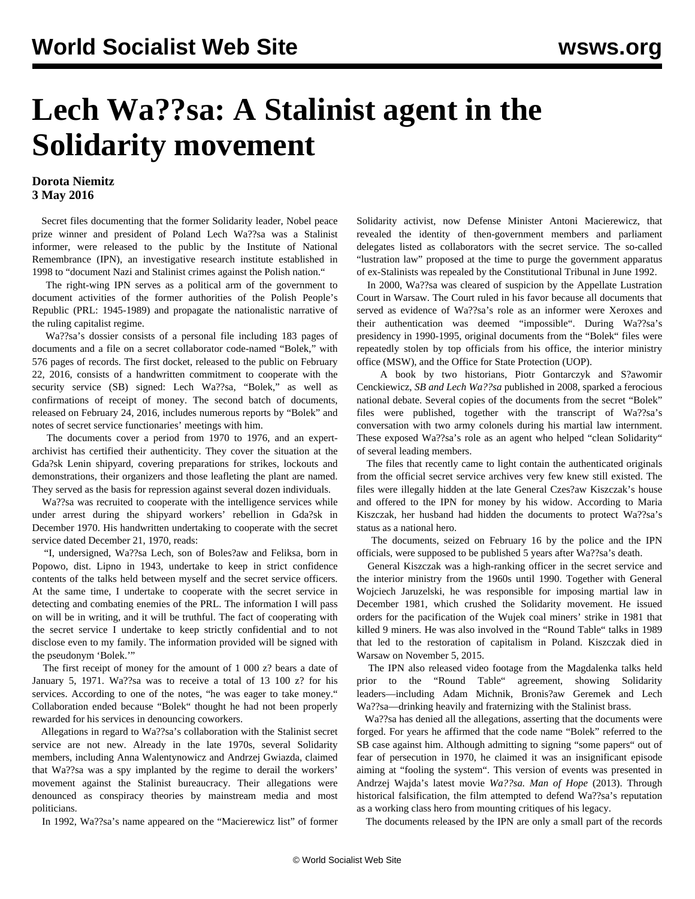## **Lech Wa??sa: A Stalinist agent in the Solidarity movement**

## **Dorota Niemitz 3 May 2016**

 Secret files documenting that the former Solidarity leader, Nobel peace prize winner and president of Poland Lech Wa??sa was a Stalinist informer, were released to the public by the Institute of National Remembrance (IPN), an investigative research institute established in 1998 to "document Nazi and Stalinist crimes against the Polish nation."

 The right-wing IPN serves as a political arm of the government to document activities of the former authorities of the Polish People's Republic (PRL: 1945-1989) and propagate the nationalistic narrative of the ruling capitalist regime.

 Wa??sa's dossier consists of a personal file including 183 pages of documents and a file on a secret collaborator code-named "Bolek," with 576 pages of records. The first docket, released to the public on February 22, 2016, consists of a handwritten commitment to cooperate with the security service (SB) signed: Lech Wa??sa, "Bolek," as well as confirmations of receipt of money. The second batch of documents, released on February 24, 2016, includes numerous reports by "Bolek" and notes of secret service functionaries' meetings with him.

 The documents cover a period from 1970 to 1976, and an expertarchivist has certified their authenticity. They cover the situation at the Gda?sk Lenin shipyard, covering preparations for strikes, lockouts and demonstrations, their organizers and those leafleting the plant are named. They served as the basis for repression against several dozen individuals.

 Wa??sa was recruited to cooperate with the intelligence services while under arrest during the shipyard workers' rebellion in Gda?sk in December 1970. His handwritten undertaking to cooperate with the secret service dated December 21, 1970, reads:

 "I, undersigned, Wa??sa Lech, son of Boles?aw and Feliksa, born in Popowo, dist. Lipno in 1943, undertake to keep in strict confidence contents of the talks held between myself and the secret service officers. At the same time, I undertake to cooperate with the secret service in detecting and combating enemies of the PRL. The information I will pass on will be in writing, and it will be truthful. The fact of cooperating with the secret service I undertake to keep strictly confidential and to not disclose even to my family. The information provided will be signed with the pseudonym 'Bolek.'"

 The first receipt of money for the amount of 1 000 z? bears a date of January 5, 1971. Wa??sa was to receive a total of 13 100 z? for his services. According to one of the notes, "he was eager to take money." Collaboration ended because "Bolek" thought he had not been properly rewarded for his services in denouncing coworkers.

 Allegations in regard to Wa??sa's collaboration with the Stalinist secret service are not new. Already in the late 1970s, several Solidarity members, including Anna Walentynowicz and Andrzej Gwiazda, claimed that Wa??sa was a spy implanted by the regime to derail the workers' movement against the Stalinist bureaucracy. Their allegations were denounced as conspiracy theories by mainstream media and most politicians.

In 1992, Wa??sa's name appeared on the "Macierewicz list" of former

Solidarity activist, now Defense Minister Antoni Macierewicz, that revealed the identity of then-government members and parliament delegates listed as collaborators with the secret service. The so-called "lustration law" proposed at the time to purge the government apparatus of ex-Stalinists was repealed by the Constitutional Tribunal in June 1992.

 In 2000, Wa??sa was cleared of suspicion by the Appellate Lustration Court in Warsaw. The Court ruled in his favor because all documents that served as evidence of Wa??sa's role as an informer were Xeroxes and their authentication was deemed "impossible". During Wa??sa's presidency in 1990-1995, original documents from the "Bolek" files were repeatedly stolen by top officials from his office, the interior ministry office (MSW), and the Office for State Protection (UOP).

 A book by two historians, Piotr Gontarczyk and S?awomir Cenckiewicz, *SB and Lech Wa??sa* published in 2008, sparked a ferocious national debate. Several copies of the documents from the secret "Bolek" files were published, together with the transcript of Wa??sa's conversation with two army colonels during his martial law internment. These exposed Wa??sa's role as an agent who helped "clean Solidarity" of several leading members.

 The files that recently came to light contain the authenticated originals from the official secret service archives very few knew still existed. The files were illegally hidden at the late General Czes?aw Kiszczak's house and offered to the IPN for money by his widow. According to Maria Kiszczak, her husband had hidden the documents to protect Wa??sa's status as a national hero.

 The documents, seized on February 16 by the police and the IPN officials, were supposed to be published 5 years after Wa??sa's death.

 General Kiszczak was a high-ranking officer in the secret service and the interior ministry from the 1960s until 1990. Together with General Wojciech Jaruzelski, he was responsible for imposing martial law in December 1981, which crushed the Solidarity movement. He issued orders for the pacification of the Wujek coal miners' strike in 1981 that killed 9 miners. He was also involved in the "Round Table" talks in 1989 that led to the restoration of capitalism in Poland. Kiszczak died in Warsaw on November 5, 2015.

 The IPN also released video footage from the Magdalenka talks held prior to the "Round Table" agreement, showing Solidarity leaders—including Adam Michnik, Bronis?aw Geremek and Lech Wa??sa—drinking heavily and fraternizing with the Stalinist brass.

 Wa??sa has denied all the allegations, asserting that the documents were forged. For years he affirmed that the code name "Bolek" referred to the SB case against him. Although admitting to signing "some papers" out of fear of persecution in 1970, he claimed it was an insignificant episode aiming at "fooling the system". This version of events was presented in Andrzej Wajda's latest movie *Wa??sa. Man of Hope* (2013). Through historical falsification, the film attempted to defend Wa??sa's reputation as a working class hero from mounting critiques of his legacy.

The documents released by the IPN are only a small part of the records